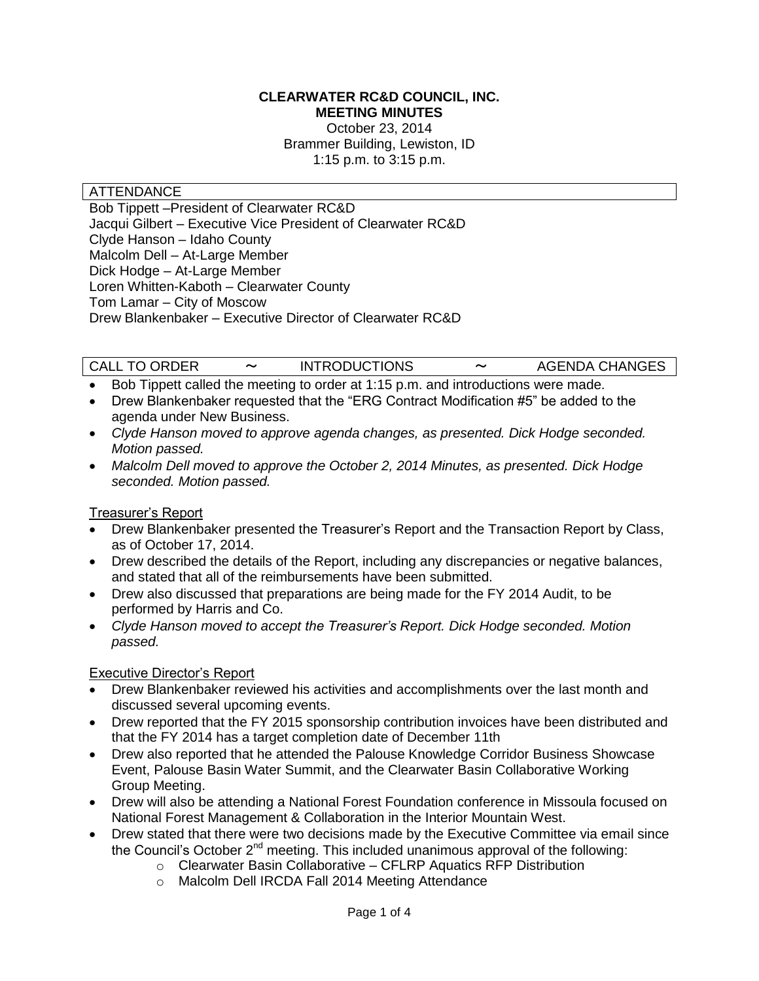#### **CLEARWATER RC&D COUNCIL, INC. MEETING MINUTES**

October 23, 2014 Brammer Building, Lewiston, ID 1:15 p.m. to 3:15 p.m.

#### ATTENDANCE

Bob Tippett –President of Clearwater RC&D Jacqui Gilbert – Executive Vice President of Clearwater RC&D Clyde Hanson – Idaho County Malcolm Dell – At-Large Member Dick Hodge – At-Large Member Loren Whitten-Kaboth – Clearwater County Tom Lamar – City of Moscow Drew Blankenbaker – Executive Director of Clearwater RC&D

CALL TO ORDER 〜 INTRODUCTIONS 〜 AGENDA CHANGES

- Bob Tippett called the meeting to order at 1:15 p.m. and introductions were made.
- Drew Blankenbaker requested that the "ERG Contract Modification #5" be added to the agenda under New Business.
- *Clyde Hanson moved to approve agenda changes, as presented. Dick Hodge seconded. Motion passed.*
- *Malcolm Dell moved to approve the October 2, 2014 Minutes, as presented. Dick Hodge seconded. Motion passed.*

#### Treasurer's Report

- Drew Blankenbaker presented the Treasurer's Report and the Transaction Report by Class, as of October 17, 2014.
- Drew described the details of the Report, including any discrepancies or negative balances, and stated that all of the reimbursements have been submitted.
- Drew also discussed that preparations are being made for the FY 2014 Audit, to be performed by Harris and Co.
- *Clyde Hanson moved to accept the Treasurer's Report. Dick Hodge seconded. Motion passed.*

## Executive Director's Report

- Drew Blankenbaker reviewed his activities and accomplishments over the last month and discussed several upcoming events.
- Drew reported that the FY 2015 sponsorship contribution invoices have been distributed and that the FY 2014 has a target completion date of December 11th
- Drew also reported that he attended the Palouse Knowledge Corridor Business Showcase Event, Palouse Basin Water Summit, and the Clearwater Basin Collaborative Working Group Meeting.
- Drew will also be attending a National Forest Foundation conference in Missoula focused on National Forest Management & Collaboration in the Interior Mountain West.
- Drew stated that there were two decisions made by the Executive Committee via email since the Council's October  $2^{nd}$  meeting. This included unanimous approval of the following:
	- o Clearwater Basin Collaborative CFLRP Aquatics RFP Distribution
	- o Malcolm Dell IRCDA Fall 2014 Meeting Attendance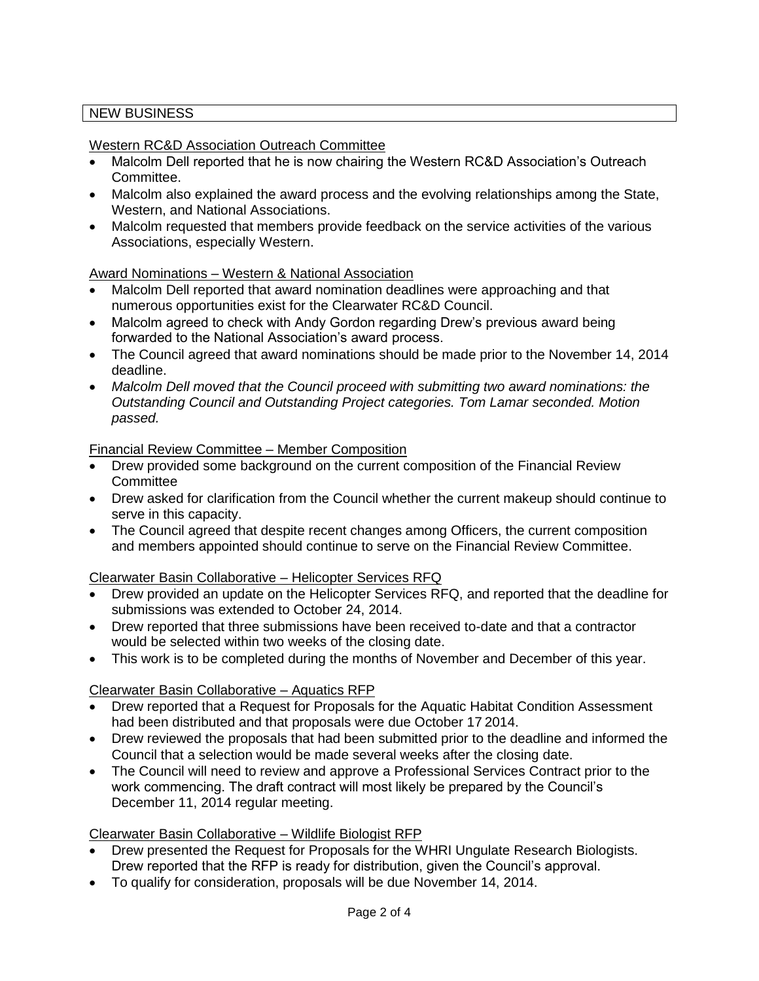# NEW BUSINESS

## Western RC&D Association Outreach Committee

- Malcolm Dell reported that he is now chairing the Western RC&D Association's Outreach Committee.
- Malcolm also explained the award process and the evolving relationships among the State, Western, and National Associations.
- Malcolm requested that members provide feedback on the service activities of the various Associations, especially Western.

## Award Nominations – Western & National Association

- Malcolm Dell reported that award nomination deadlines were approaching and that numerous opportunities exist for the Clearwater RC&D Council.
- Malcolm agreed to check with Andy Gordon regarding Drew's previous award being forwarded to the National Association's award process.
- The Council agreed that award nominations should be made prior to the November 14, 2014 deadline.
- *Malcolm Dell moved that the Council proceed with submitting two award nominations: the Outstanding Council and Outstanding Project categories. Tom Lamar seconded. Motion passed.*

## Financial Review Committee – Member Composition

- Drew provided some background on the current composition of the Financial Review **Committee**
- Drew asked for clarification from the Council whether the current makeup should continue to serve in this capacity.
- The Council agreed that despite recent changes among Officers, the current composition and members appointed should continue to serve on the Financial Review Committee.

# Clearwater Basin Collaborative – Helicopter Services RFQ

- Drew provided an update on the Helicopter Services RFQ, and reported that the deadline for submissions was extended to October 24, 2014.
- Drew reported that three submissions have been received to-date and that a contractor would be selected within two weeks of the closing date.
- This work is to be completed during the months of November and December of this year.

# Clearwater Basin Collaborative – Aquatics RFP

- Drew reported that a Request for Proposals for the Aquatic Habitat Condition Assessment had been distributed and that proposals were due October 17 2014.
- Drew reviewed the proposals that had been submitted prior to the deadline and informed the Council that a selection would be made several weeks after the closing date.
- The Council will need to review and approve a Professional Services Contract prior to the work commencing. The draft contract will most likely be prepared by the Council's December 11, 2014 regular meeting.

## Clearwater Basin Collaborative – Wildlife Biologist RFP

- Drew presented the Request for Proposals for the WHRI Ungulate Research Biologists. Drew reported that the RFP is ready for distribution, given the Council's approval.
- To qualify for consideration, proposals will be due November 14, 2014.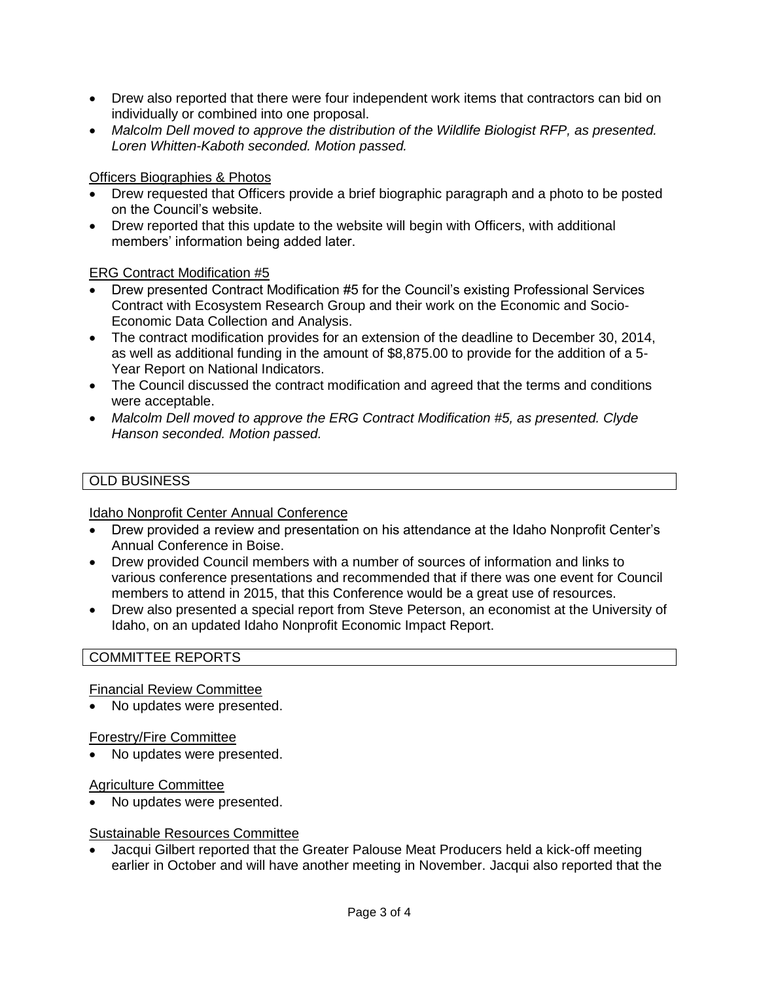- Drew also reported that there were four independent work items that contractors can bid on individually or combined into one proposal.
- *Malcolm Dell moved to approve the distribution of the Wildlife Biologist RFP, as presented. Loren Whitten-Kaboth seconded. Motion passed.*

## Officers Biographies & Photos

- Drew requested that Officers provide a brief biographic paragraph and a photo to be posted on the Council's website.
- Drew reported that this update to the website will begin with Officers, with additional members' information being added later.

## ERG Contract Modification #5

- Drew presented Contract Modification #5 for the Council's existing Professional Services Contract with Ecosystem Research Group and their work on the Economic and Socio-Economic Data Collection and Analysis.
- The contract modification provides for an extension of the deadline to December 30, 2014, as well as additional funding in the amount of \$8,875.00 to provide for the addition of a 5- Year Report on National Indicators.
- The Council discussed the contract modification and agreed that the terms and conditions were acceptable.
- *Malcolm Dell moved to approve the ERG Contract Modification #5, as presented. Clyde Hanson seconded. Motion passed.*

## OLD BUSINESS

## Idaho Nonprofit Center Annual Conference

- Drew provided a review and presentation on his attendance at the Idaho Nonprofit Center's Annual Conference in Boise.
- Drew provided Council members with a number of sources of information and links to various conference presentations and recommended that if there was one event for Council members to attend in 2015, that this Conference would be a great use of resources.
- Drew also presented a special report from Steve Peterson, an economist at the University of Idaho, on an updated Idaho Nonprofit Economic Impact Report.

## COMMITTEE REPORTS

## Financial Review Committee

• No updates were presented.

## Forestry/Fire Committee

No updates were presented.

## Agriculture Committee

• No updates were presented.

## Sustainable Resources Committee

 Jacqui Gilbert reported that the Greater Palouse Meat Producers held a kick-off meeting earlier in October and will have another meeting in November. Jacqui also reported that the